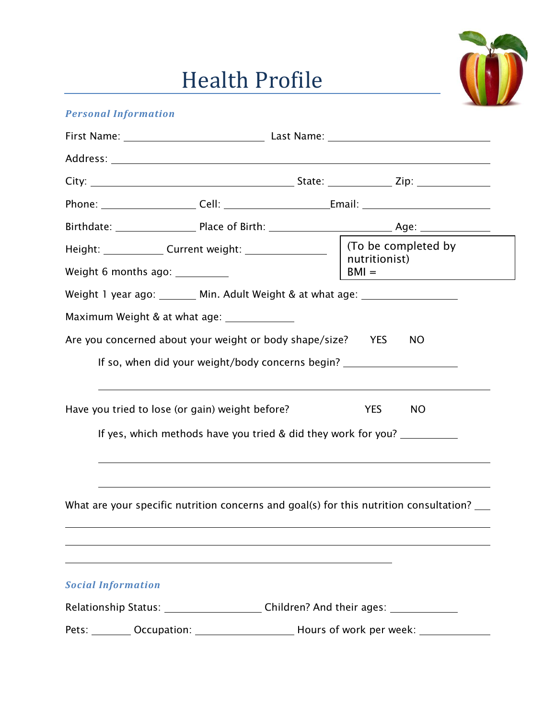## Health Profile



## *Personal Information*

| Height: ______________ Current weight: _____________________   (To be completed by<br>Weight 6 months ago: ___________ |                                                                                                                  | nutritionist)<br>$BM =$                                                                      |  |
|------------------------------------------------------------------------------------------------------------------------|------------------------------------------------------------------------------------------------------------------|----------------------------------------------------------------------------------------------|--|
|                                                                                                                        |                                                                                                                  | Weight 1 year ago: ________ Min. Adult Weight & at what age: ___________________             |  |
|                                                                                                                        | Maximum Weight & at what age: ______________                                                                     |                                                                                              |  |
|                                                                                                                        | Are you concerned about your weight or body shape/size? YES                                                      | NO<br>If so, when did your weight/body concerns begin? _______________________________       |  |
|                                                                                                                        | Have you tried to lose (or gain) weight before?                                                                  | <b>YES</b><br>NO<br>If yes, which methods have you tried & did they work for you?            |  |
|                                                                                                                        |                                                                                                                  | What are your specific nutrition concerns and goal(s) for this nutrition consultation?       |  |
| <b>Social Information</b>                                                                                              | and the control of the control of the control of the control of the control of the control of the control of the | Relationship Status: _________________________Children? And their ages: _______________      |  |
|                                                                                                                        |                                                                                                                  | Pets: _________ Occupation: ________________________ Hours of work per week: _______________ |  |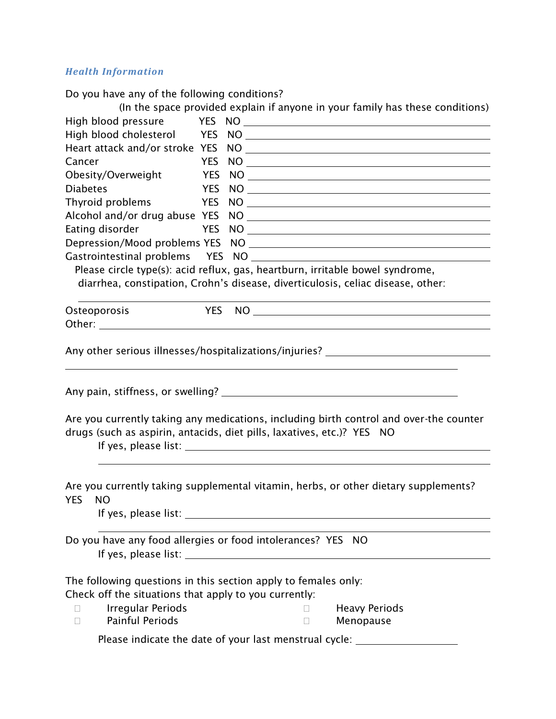## *Health Information*

Do you have any of the following conditions?

|                                                       |     | (In the space provided explain if anyone in your family has these conditions)                                                                                                                                                  |  |  |  |  |
|-------------------------------------------------------|-----|--------------------------------------------------------------------------------------------------------------------------------------------------------------------------------------------------------------------------------|--|--|--|--|
|                                                       |     |                                                                                                                                                                                                                                |  |  |  |  |
| High blood cholesterol YES                            |     | NO                                                                                                                                                                                                                             |  |  |  |  |
|                                                       |     | Heart attack and/or stroke YES NO                                                                                                                                                                                              |  |  |  |  |
| Cancer                                                |     | YES NO                                                                                                                                                                                                                         |  |  |  |  |
| Obesity/Overweight                                    |     | $YES NO$ $10$                                                                                                                                                                                                                  |  |  |  |  |
| <b>Diabetes</b>                                       | YES |                                                                                                                                                                                                                                |  |  |  |  |
|                                                       |     | Thyroid problems Thyroid Problems Thyroid Problems                                                                                                                                                                             |  |  |  |  |
|                                                       |     |                                                                                                                                                                                                                                |  |  |  |  |
|                                                       |     | Eating disorder TES NO TELECTRIC RESOLUTION AND THE RESOLUTION OF THE RESOLUTION OF THE RESOLUTION OF THE RESOLUTION OF THE RESOLUTION OF THE RESOLUTION OF THE RESOLUTION OF THE RESOLUTION OF THE RESOLUTION OF THE RESOLUTI |  |  |  |  |
|                                                       |     |                                                                                                                                                                                                                                |  |  |  |  |
|                                                       |     |                                                                                                                                                                                                                                |  |  |  |  |
|                                                       |     | diarrhea, constipation, Crohn's disease, diverticulosis, celiac disease, other:                                                                                                                                                |  |  |  |  |
|                                                       |     |                                                                                                                                                                                                                                |  |  |  |  |
| Osteoporosis                                          |     | YES NO                                                                                                                                                                                                                         |  |  |  |  |
|                                                       |     |                                                                                                                                                                                                                                |  |  |  |  |
|                                                       |     |                                                                                                                                                                                                                                |  |  |  |  |
|                                                       |     | Any other serious illnesses/hospitalizations/injuries? __________________________                                                                                                                                              |  |  |  |  |
|                                                       |     |                                                                                                                                                                                                                                |  |  |  |  |
|                                                       |     |                                                                                                                                                                                                                                |  |  |  |  |
|                                                       |     |                                                                                                                                                                                                                                |  |  |  |  |
|                                                       |     |                                                                                                                                                                                                                                |  |  |  |  |
|                                                       |     | Are you currently taking any medications, including birth control and over-the counter                                                                                                                                         |  |  |  |  |
|                                                       |     | drugs (such as aspirin, antacids, diet pills, laxatives, etc.)? YES NO                                                                                                                                                         |  |  |  |  |
|                                                       |     |                                                                                                                                                                                                                                |  |  |  |  |
|                                                       |     |                                                                                                                                                                                                                                |  |  |  |  |
|                                                       |     | Are you currently taking supplemental vitamin, herbs, or other dietary supplements?                                                                                                                                            |  |  |  |  |
| YES NO                                                |     |                                                                                                                                                                                                                                |  |  |  |  |
|                                                       |     |                                                                                                                                                                                                                                |  |  |  |  |
|                                                       |     |                                                                                                                                                                                                                                |  |  |  |  |
|                                                       |     | Do you have any food allergies or food intolerances? YES NO                                                                                                                                                                    |  |  |  |  |
|                                                       |     |                                                                                                                                                                                                                                |  |  |  |  |
|                                                       |     |                                                                                                                                                                                                                                |  |  |  |  |
|                                                       |     | The following questions in this section apply to females only:                                                                                                                                                                 |  |  |  |  |
| Check off the situations that apply to you currently: |     |                                                                                                                                                                                                                                |  |  |  |  |
| <b>Irregular Periods</b><br>$\Box$                    |     | <b>Heavy Periods</b><br>$\mathbf{L}$                                                                                                                                                                                           |  |  |  |  |
| <b>Painful Periods</b><br>$\Box$                      |     | Menopause<br>П                                                                                                                                                                                                                 |  |  |  |  |
|                                                       |     |                                                                                                                                                                                                                                |  |  |  |  |
|                                                       |     | Please indicate the date of your last menstrual cycle: _________________________                                                                                                                                               |  |  |  |  |
|                                                       |     |                                                                                                                                                                                                                                |  |  |  |  |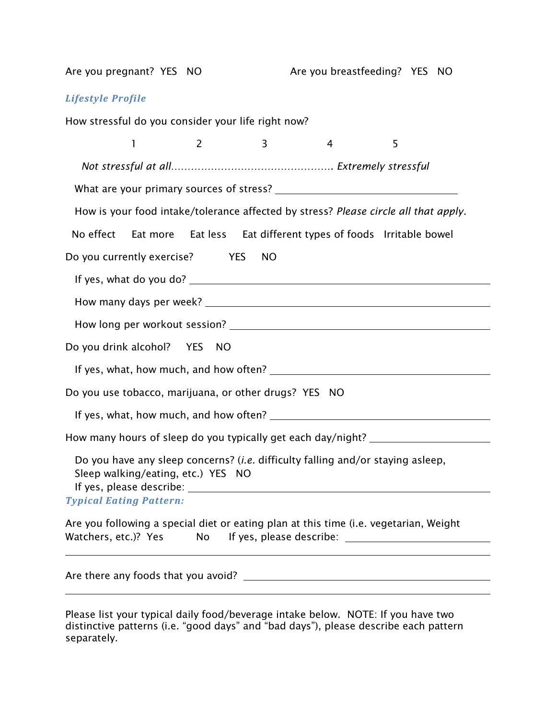Are you pregnant? YES NO Are you breastfeeding? YES NO *Lifestyle Profile*  How stressful do you consider your life right now?  $1 2 3 4 5$  *Not stressful at all…………………………………………. Extremely stressful*  What are your primary sources of stress? How is your food intake/tolerance affected by stress? *Please circle all that apply.*  No effect Eat more Eat less Eat different types of foods Irritable bowel Do you currently exercise? YES NO If yes, what do you do? How many days per week? How long per workout session? Do you drink alcohol? YES NO If yes, what, how much, and how often? Do you use tobacco, marijuana, or other drugs? YES NO If yes, what, how much, and how often? How many hours of sleep do you typically get each day/night? \_\_\_\_\_\_\_\_\_\_\_\_\_\_\_\_\_\_\_ Do you have any sleep concerns? (*i.e.* difficulty falling and/or staying asleep, Sleep walking/eating, etc.) YES NO If yes, please describe: *Typical Eating Pattern:* Are you following a special diet or eating plan at this time (i.e. vegetarian, Weight Watchers, etc.)? Yes No If yes, please describe: \_\_\_\_\_\_\_\_\_\_\_\_\_\_\_\_\_\_\_\_\_\_\_\_\_\_\_\_\_\_\_ Are there any foods that you avoid?

Please list your typical daily food/beverage intake below.NOTE: If you have two distinctive patterns (i.e. "good days" and "bad days"), please describe each pattern separately.